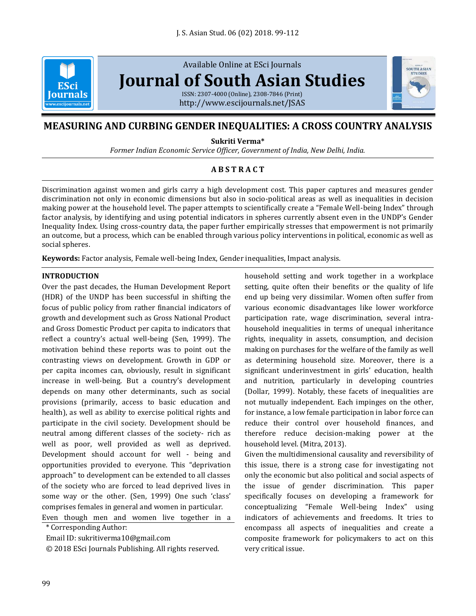

Available Online at ESci Journals **[Journal of South Asian Studies](http://www.escijournals.net/JSAS)** ISSN: 2307-4000 (Online), 2308-7846 (Print) <http://www.escijournals.net/JSAS>



# **MEASURING AND CURBING GENDER INEQUALITIES: A CROSS COUNTRY ANALYSIS**

**Sukriti Verma\***

*Former Indian Economic Service Officer, Government of India, New Delhi, India.*

# **A B S T R A C T**

Discrimination against women and girls carry a high development cost. This paper captures and measures gender discrimination not only in economic dimensions but also in socio-political areas as well as inequalities in decision making power at the household level. The paper attempts to scientifically create a "Female Well-being Index" through factor analysis, by identifying and using potential indicators in spheres currently absent even in the UNDP's Gender Inequality Index. Using cross-country data, the paper further empirically stresses that empowerment is not primarily an outcome, but a process, which can be enabled through various policy interventions in political, economic as well as social spheres.

**Keywords:** Factor analysis, Female well-being Index, Gender inequalities, Impact analysis.

#### **INTRODUCTION**

Over the past decades, the Human Development Report (HDR) of the UNDP has been successful in shifting the focus of public policy from rather financial indicators of growth and development such as Gross National Product and Gross Domestic Product per capita to indicators that reflect a country's actual well-being (Sen, 1999). The motivation behind these reports was to point out the contrasting views on development. Growth in GDP or per capita incomes can, obviously, result in significant increase in well-being. But a country's development depends on many other determinants, such as social provisions (primarily, access to basic education and health), as well as ability to exercise political rights and participate in the civil society. Development should be neutral among different classes of the society- rich as well as poor, well provided as well as deprived. Development should account for well - being and opportunities provided to everyone. This "deprivation approach" to development can be extended to all classes of the society who are forced to lead deprived lives in some way or the other. (Sen, 1999) One such 'class' comprises females in general and women in particular.

Even though men and women live together in a

\* Corresponding Author:

Email ID: sukritiverma10@gmail.com

© 2018 ESci Journals Publishing. All rights reserved.

household setting and work together in a workplace setting, quite often their benefits or the quality of life end up being very dissimilar. Women often suffer from various economic disadvantages like lower workforce participation rate, wage discrimination, several intrahousehold inequalities in terms of unequal inheritance rights, inequality in assets, consumption, and decision making on purchases for the welfare of the family as well as determining household size. Moreover, there is a significant underinvestment in girls' education, health and nutrition, particularly in developing countries (Dollar, 1999). Notably, these facets of inequalities are not mutually independent. Each impinges on the other, for instance, a low female participation in labor force can reduce their control over household finances, and therefore reduce decision-making power at the household level. (Mitra, 2013).

Given the multidimensional causality and reversibility of this issue, there is a strong case for investigating not only the economic but also political and social aspects of the issue of gender discrimination. This paper specifically focuses on developing a framework for conceptualizing "Female Well-being Index" using indicators of achievements and freedoms. It tries to encompass all aspects of inequalities and create a composite framework for policymakers to act on this very critical issue.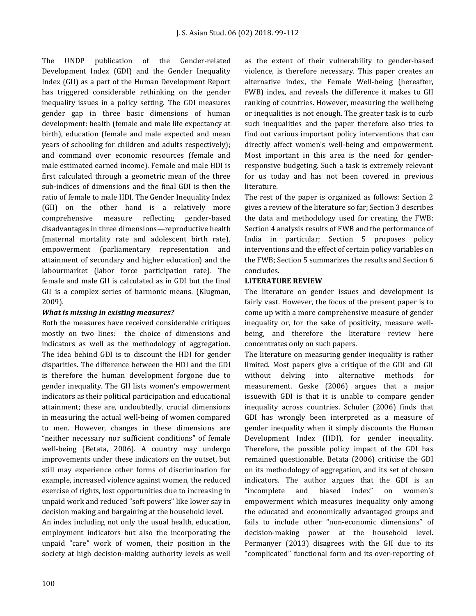The UNDP publication of the Gender-related Development Index (GDI) and the Gender Inequality Index (GII) as a part of the Human Development Report has triggered considerable rethinking on the gender inequality issues in a policy setting. The GDI measures gender gap in three basic dimensions of human development: health (female and male life expectancy at birth), education (female and male expected and mean years of schooling for children and adults respectively); and command over economic resources (female and male estimated earned income). Female and male HDI is first calculated through a geometric mean of the three sub-indices of dimensions and the final GDI is then the ratio of female to male HDI. The Gender Inequality Index (GII) on the other hand is a relatively more comprehensive measure reflecting gender-based disadvantages in three dimensions—reproductive health (maternal mortality rate and adolescent birth rate), empowerment (parliamentary representation and attainment of secondary and higher education) and the labourmarket (labor force participation rate). The female and male GII is calculated as in GDI but the final GII is a complex series of harmonic means. (Klugman, 2009).

## *What is missing in existing measures?*

Both the measures have received considerable critiques mostly on two lines: the choice of dimensions and indicators as well as the methodology of aggregation. The idea behind GDI is to discount the HDI for gender disparities. The difference between the HDI and the GDI is therefore the human development forgone due to gender inequality. The GII lists women's empowerment indicators as their political participation and educational attainment; these are, undoubtedly, crucial dimensions in measuring the actual well-being of women compared to men. However, changes in these dimensions are "neither necessary nor sufficient conditions" of female well-being (Betata, 2006). A country may undergo improvements under these indicators on the outset, but still may experience other forms of discrimination for example, increased violence against women, the reduced exercise of rights, lost opportunities due to increasing in unpaid work and reduced "soft powers" like lower say in decision making and bargaining at the household level.

An index including not only the usual health, education, employment indicators but also the incorporating the unpaid "care" work of women, their position in the society at high decision-making authority levels as well as the extent of their vulnerability to gender-based violence, is therefore necessary. This paper creates an alternative index, the Female Well-being (hereafter, FWB) index, and reveals the difference it makes to GII ranking of countries. However, measuring the wellbeing or inequalities is not enough. The greater task is to curb such inequalities and the paper therefore also tries to find out various important policy interventions that can directly affect women's well-being and empowerment. Most important in this area is the need for genderresponsive budgeting. Such a task is extremely relevant for us today and has not been covered in previous literature.

The rest of the paper is organized as follows: Section 2 gives a review of the literature so far; Section 3 describes the data and methodology used for creating the FWB; Section 4 analysis results of FWB and the performance of India in particular; Section 5 proposes policy interventions and the effect of certain policy variables on the FWB; Section 5 summarizes the results and Section 6 concludes.

### **LITERATURE REVIEW**

The literature on gender issues and development is fairly vast. However, the focus of the present paper is to come up with a more comprehensive measure of gender inequality or, for the sake of positivity, measure wellbeing, and therefore the literature review here concentrates only on such papers.

The literature on measuring gender inequality is rather limited. Most papers give a critique of the GDI and GII without delving into alternative methods for measurement. Geske (2006) argues that a major issuewith GDI is that it is unable to compare gender inequality across countries. Schuler (2006) finds that GDI has wrongly been interpreted as a measure of gender inequality when it simply discounts the Human Development Index (HDI), for gender inequality. Therefore, the possible policy impact of the GDI has remained questionable. Betata (2006) criticise the GDI on its methodology of aggregation, and its set of chosen indicators. The author argues that the GDI is an "incomplete and biased index" on women's empowerment which measures inequality only among the educated and economically advantaged groups and fails to include other "non-economic dimensions" of decision-making power at the household level. Permanyer (2013) disagrees with the GII due to its "complicated" functional form and its over-reporting of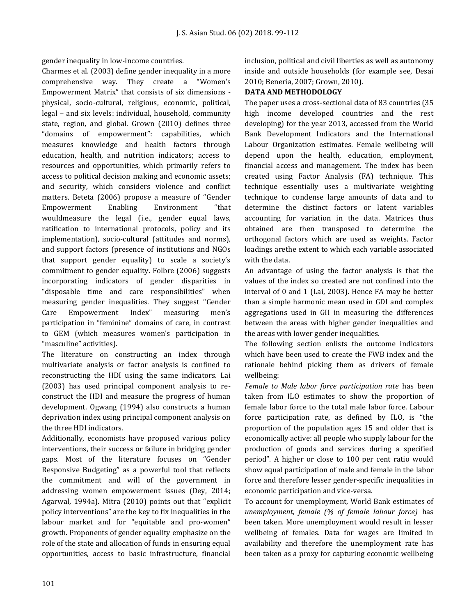gender inequality in low-income countries.

Charmes et al. (2003) define gender inequality in a more comprehensive way. They create a "Women's Empowerment Matrix" that consists of six dimensions physical, socio-cultural, religious, economic, political, legal – and six levels: individual, household, community state, region, and global. Grown (2010) defines three "domains of empowerment": capabilities, which measures knowledge and health factors through education, health, and nutrition indicators; access to resources and opportunities, which primarily refers to access to political decision making and economic assets; and security, which considers violence and conflict matters. Beteta (2006) propose a measure of "Gender Empowerment Enabling Environment "that wouldmeasure the legal (i.e., gender equal laws, ratification to international protocols, policy and its implementation), socio-cultural (attitudes and norms), and support factors (presence of institutions and NGOs that support gender equality) to scale a society's commitment to gender equality. Folbre (2006) suggests incorporating indicators of gender disparities in "disposable time and care responsibilities" when measuring gender inequalities. They suggest "Gender Care Empowerment Index" measuring men's participation in "feminine" domains of care, in contrast to GEM (which measures women's participation in "masculine" activities).

The literature on constructing an index through multivariate analysis or factor analysis is confined to reconstructing the HDI using the same indicators. Lai (2003) has used principal component analysis to reconstruct the HDI and measure the progress of human development. Ogwang (1994) also constructs a human deprivation index using principal component analysis on the three HDI indicators.

Additionally, economists have proposed various policy interventions, their success or failure in bridging gender gaps. Most of the literature focuses on "Gender Responsive Budgeting" as a powerful tool that reflects the commitment and will of the government in addressing women empowerment issues (Dey, 2014; Agarwal, 1994a). Mitra (2010) points out that "explicit policy interventions" are the key to fix inequalities in the labour market and for "equitable and pro-women" growth. Proponents of gender equality emphasize on the role of the state and allocation of funds in ensuring equal opportunities, access to basic infrastructure, financial inclusion, political and civil liberties as well as autonomy inside and outside households (for example see, Desai 2010; Beneria, 2007; Grown, 2010).

# **DATA AND METHODOLOGY**

The paper uses a cross-sectional data of 83 countries (35 high income developed countries and the rest developing) for the year 2013, accessed from the World Bank Development Indicators and the International Labour Organization estimates. Female wellbeing will depend upon the health, education, employment, financial access and management. The index has been created using Factor Analysis (FA) technique. This technique essentially uses a multivariate weighting technique to condense large amounts of data and to determine the distinct factors or latent variables accounting for variation in the data. Matrices thus obtained are then transposed to determine the orthogonal factors which are used as weights. Factor loadings arethe extent to which each variable associated with the data.

An advantage of using the factor analysis is that the values of the index so created are not confined into the interval of 0 and 1 (Lai, 2003). Hence FA may be better than a simple harmonic mean used in GDI and complex aggregations used in GII in measuring the differences between the areas with higher gender inequalities and the areas with lower gender inequalities.

The following section enlists the outcome indicators which have been used to create the FWB index and the rationale behind picking them as drivers of female wellbeing:

*Female to Male labor force participation rate* has been taken from ILO estimates to show the proportion of female labor force to the total male labor force. Labour force participation rate, as defined by ILO, is "the proportion of the population ages 15 and older that is economically active: all people who supply labour for the production of goods and services during a specified period". A higher or close to 100 per cent ratio would show equal participation of male and female in the labor force and therefore lesser gender-specific inequalities in economic participation and vice-versa.

To account for unemployment, World Bank estimates of *unemployment, female (% of female labour force)* has been taken. More unemployment would result in lesser wellbeing of females. Data for wages are limited in availability and therefore the unemployment rate has been taken as a proxy for capturing economic wellbeing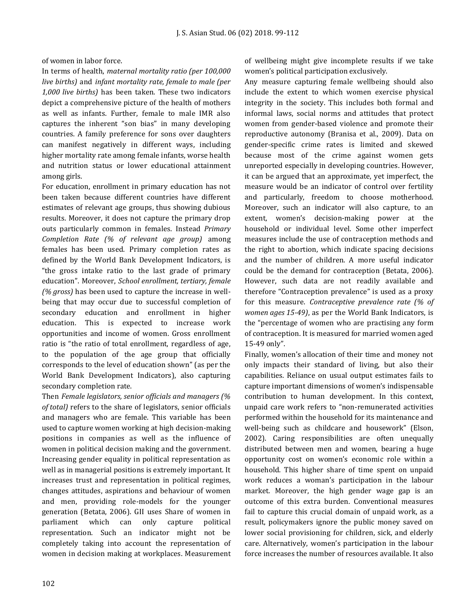of women in labor force.

In terms of health, *maternal mortality ratio (per 100,000 live births)* and *infant mortality rate, female to male (per 1,000 live births)* has been taken. These two indicators depict a comprehensive picture of the health of mothers as well as infants. Further, female to male IMR also captures the inherent "son bias" in many developing countries. A family preference for sons over daughters can manifest negatively in different ways, including higher mortality rate among female infants, worse health and nutrition status or lower educational attainment among girls.

For education, enrollment in primary education has not been taken because different countries have different estimates of relevant age groups, thus showing dubious results. Moreover, it does not capture the primary drop outs particularly common in females. Instead *Primary Completion Rate (% of relevant age group)* among females has been used. Primary completion rates as defined by the World Bank Development Indicators, is "the gross intake ratio to the last grade of primary education". Moreover, *School enrollment, tertiary, female (% gross)* has been used to capture the increase in wellbeing that may occur due to successful completion of secondary education and enrollment in higher education. This is expected to increase work opportunities and income of women. Gross enrollment ratio is "the ratio of total enrollment, regardless of age, to the population of the age group that officially corresponds to the level of education shown" (as per the World Bank Development Indicators), also capturing secondary completion rate.

Then *Female legislators, senior officials and managers (% of total)* refers to the share of legislators, senior officials and managers who are female. This variable has been used to capture women working at high decision-making positions in companies as well as the influence of women in political decision making and the government. Increasing gender equality in political representation as well as in managerial positions is extremely important. It increases trust and representation in political regimes, changes attitudes, aspirations and behaviour of women and men, providing role-models for the younger generation (Betata, 2006). GII uses Share of women in parliament which can only capture political representation. Such an indicator might not be completely taking into account the representation of women in decision making at workplaces. Measurement of wellbeing might give incomplete results if we take women's political participation exclusively.

Any measure capturing female wellbeing should also include the extent to which women exercise physical integrity in the society. This includes both formal and informal laws, social norms and attitudes that protect women from gender-based violence and promote their reproductive autonomy (Branisa et al., 2009). Data on gender-specific crime rates is limited and skewed because most of the crime against women gets unreported especially in developing countries. However, it can be argued that an approximate, yet imperfect, the measure would be an indicator of control over fertility and particularly, freedom to choose motherhood. Moreover, such an indicator will also capture, to an extent, women's decision-making power at the household or individual level. Some other imperfect measures include the use of contraception methods and the right to abortion, which indicate spacing decisions and the number of children. A more useful indicator could be the demand for contraception (Betata, 2006). However, such data are not readily available and therefore "Contraception prevalence" is used as a proxy for this measure. *Contraceptive prevalence rate (% of women ages 15-49)*, as per the World Bank Indicators, is the "percentage of women who are practising any form of contraception. It is measured for married women aged 15-49 only".

Finally, women's allocation of their time and money not only impacts their standard of living, but also their capabilities. Reliance on usual output estimates fails to capture important dimensions of women's indispensable contribution to human development. In this context, unpaid care work refers to "non-remunerated activities performed within the household for its maintenance and well-being such as childcare and housework" (Elson, 2002). Caring responsibilities are often unequally distributed between men and women, bearing a huge opportunity cost on women's economic role within a household. This higher share of time spent on unpaid work reduces a woman's participation in the labour market. Moreover, the high gender wage gap is an outcome of this extra burden. Conventional measures fail to capture this crucial domain of unpaid work, as a result, policymakers ignore the public money saved on lower social provisioning for children, sick, and elderly care. Alternatively, women's participation in the labour force increases the number of resources available. It also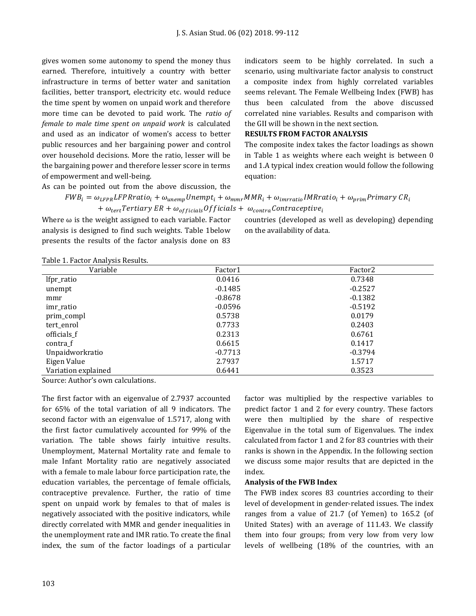gives women some autonomy to spend the money thus earned. Therefore, intuitively a country with better infrastructure in terms of better water and sanitation facilities, better transport, electricity etc. would reduce the time spent by women on unpaid work and therefore more time can be devoted to paid work. The *ratio of female to male time spent on unpaid work* is calculated and used as an indicator of women's access to better public resources and her bargaining power and control over household decisions. More the ratio, lesser will be the bargaining power and therefore lesser score in terms of empowerment and well-being.

As can be pointed out from the above discussion, the

indicators seem to be highly correlated. In such a scenario, using multivariate factor analysis to construct a composite index from highly correlated variables seems relevant. The Female Wellbeing Index (FWB) has thus been calculated from the above discussed correlated nine variables. Results and comparison with the GII will be shown in the next section.

#### **RESULTS FROM FACTOR ANALYSIS**

The composite index takes the factor loadings as shown in Table 1 as weights where each weight is between 0 and 1.A typical index creation would follow the following equation:

# $FWB_i = \omega_{LFR} LFPR ratio_i + \omega_{unemp} Unempt_i + \omega_{mmr} MMR_i + \omega_{imrratio} IMR ratio_i + \omega_{prim} Primary CR_i$ +  $\omega_{tert}$ Tertiary ER +  $\omega_{officials}$ Officials +  $\omega_{contra}$ Contraceptive<sub>i</sub>

Where  $\omega$  is the weight assigned to each variable. Factor analysis is designed to find such weights. Table 1below presents the results of the factor analysis done on 83 countries (developed as well as developing) depending on the availability of data.

Table 1. Factor Analysis Results.

| Variable            | Factor1   | Factor <sub>2</sub> |
|---------------------|-----------|---------------------|
| lfpr_ratio          | 0.0416    | 0.7348              |
| unempt              | $-0.1485$ | $-0.2527$           |
| mmr                 | $-0.8678$ | $-0.1382$           |
| imr_ratio           | $-0.0596$ | $-0.5192$           |
| prim_compl          | 0.5738    | 0.0179              |
| tert_enrol          | 0.7733    | 0.2403              |
| officials_f         | 0.2313    | 0.6761              |
| contra_f            | 0.6615    | 0.1417              |
| Unpaidworkratio     | $-0.7713$ | $-0.3794$           |
| Eigen Value         | 2.7937    | 1.5717              |
| Variation explained | 0.6441    | 0.3523              |

Source: Author's own calculations.

The first factor with an eigenvalue of 2.7937 accounted for 65% of the total variation of all 9 indicators. The second factor with an eigenvalue of 1.5717, along with the first factor cumulatively accounted for 99% of the variation. The table shows fairly intuitive results. Unemployment, Maternal Mortality rate and female to male Infant Mortality ratio are negatively associated with a female to male labour force participation rate, the education variables, the percentage of female officials, contraceptive prevalence. Further, the ratio of time spent on unpaid work by females to that of males is negatively associated with the positive indicators, while directly correlated with MMR and gender inequalities in the unemployment rate and IMR ratio. To create the final index, the sum of the factor loadings of a particular factor was multiplied by the respective variables to predict factor 1 and 2 for every country. These factors were then multiplied by the share of respective Eigenvalue in the total sum of Eigenvalues. The index calculated from factor 1 and 2 for 83 countries with their ranks is shown in the Appendix. In the following section we discuss some major results that are depicted in the index.

#### **Analysis of the FWB Index**

The FWB index scores 83 countries according to their level of development in gender-related issues. The index ranges from a value of 21.7 (of Yemen) to 165.2 (of United States) with an average of 111.43. We classify them into four groups; from very low from very low levels of wellbeing (18% of the countries, with an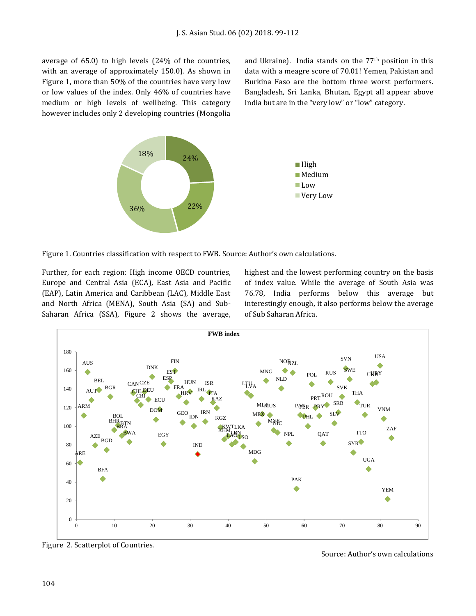average of 65.0) to high levels (24% of the countries, with an average of approximately 150.0). As shown in Figure 1, more than 50% of the countries have very low or low values of the index. Only 46% of countries have medium or high levels of wellbeing. This category however includes only 2 developing countries (Mongolia and Ukraine). India stands on the 77<sup>th</sup> position in this data with a meagre score of 70.01! Yemen, Pakistan and Burkina Faso are the bottom three worst performers. Bangladesh, Sri Lanka, Bhutan, Egypt all appear above India but are in the "very low" or "low" category.



Figure 1. Countries classification with respect to FWB. Source: Author's own calculations.

Further, for each region: High income OECD countries, Europe and Central Asia (ECA), East Asia and Pacific (EAP), Latin America and Caribbean (LAC), Middle East and North Africa (MENA), South Asia (SA) and Sub-Saharan Africa (SSA), Figure 2 shows the average, highest and the lowest performing country on the basis of index value. While the average of South Asia was 76.78, India performs below this average but interestingly enough, it also performs below the average of Sub Saharan Africa.



Figure 2. Scatterplot of Countries.

Source: Author's own calculations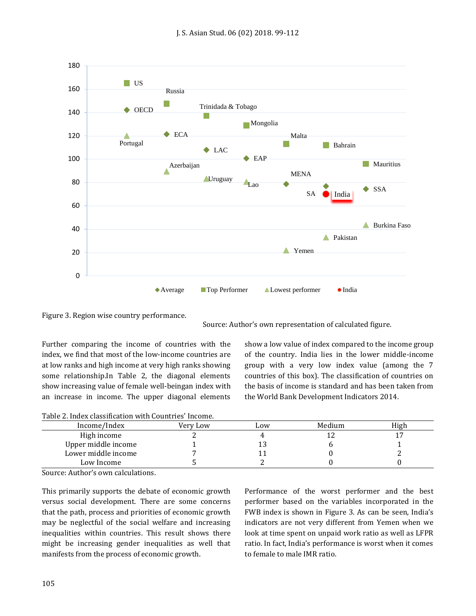



Source: Author's own representation of calculated figure.

Further comparing the income of countries with the index, we find that most of the low-income countries are at low ranks and high income at very high ranks showing some relationship.In Table 2, the diagonal elements show increasing value of female well-beingan index with an increase in income. The upper diagonal elements show a low value of index compared to the income group of the country. India lies in the lower middle-income group with a very low index value (among the 7 countries of this box). The classification of countries on the basis of income is standard and has been taken from the World Bank Development Indicators 2014.

| Table 2. Index classification with Countries' Income. |
|-------------------------------------------------------|
|-------------------------------------------------------|

| Income/Index        | Verv Low | Low | Medium | High |
|---------------------|----------|-----|--------|------|
| High income         |          |     |        |      |
| Upper middle income |          | ΤQ  |        |      |
| Lower middle income |          |     |        |      |
| Low Income          |          |     |        |      |

Source: Author's own calculations.

This primarily supports the debate of economic growth versus social development. There are some concerns that the path, process and priorities of economic growth may be neglectful of the social welfare and increasing inequalities within countries. This result shows there might be increasing gender inequalities as well that manifests from the process of economic growth.

Performance of the worst performer and the best performer based on the variables incorporated in the FWB index is shown in Figure 3. As can be seen, India's indicators are not very different from Yemen when we look at time spent on unpaid work ratio as well as LFPR ratio. In fact, India's performance is worst when it comes to female to male IMR ratio.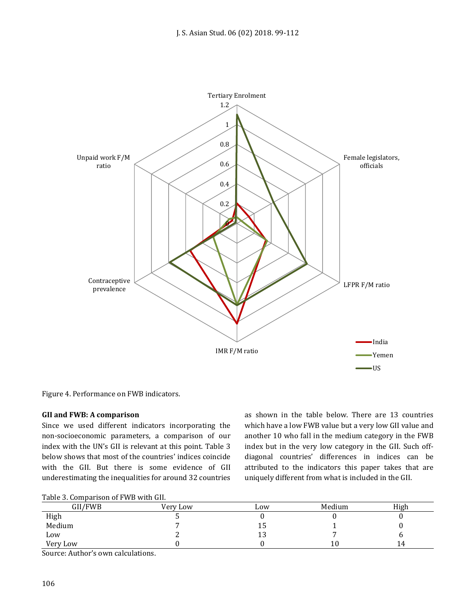

Figure 4. Performance on FWB indicators.

# **GII and FWB: A comparison**

Since we used different indicators incorporating the non-socioeconomic parameters, a comparison of our index with the UN's GII is relevant at this point. Table 3 below shows that most of the countries' indices coincide with the GII. But there is some evidence of GII underestimating the inequalities for around 32 countries as shown in the table below. There are 13 countries which have a low FWB value but a very low GII value and another 10 who fall in the medium category in the FWB index but in the very low category in the GII. Such offdiagonal countries' differences in indices can be attributed to the indicators this paper takes that are uniquely different from what is included in the GII.

|  | Table 3. Comparison of FWB with GII. |  |  |
|--|--------------------------------------|--|--|
|  |                                      |  |  |

| GII/FWB  | Very Low | Low | Medium | High |
|----------|----------|-----|--------|------|
| High     |          |     |        |      |
| Medium   |          | ⊥∪  |        |      |
| Low      |          | ᆚ   |        |      |
| Very Low |          |     | 10     | 14   |

Source: Author's own calculations.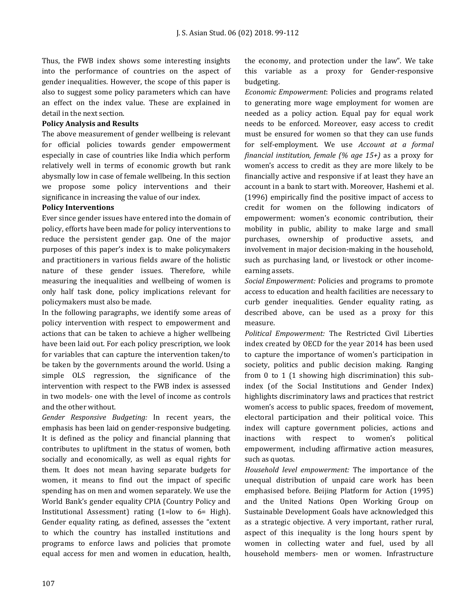Thus, the FWB index shows some interesting insights into the performance of countries on the aspect of gender inequalities. However, the scope of this paper is also to suggest some policy parameters which can have an effect on the index value. These are explained in detail in the next section.

#### **Policy Analysis and Results**

The above measurement of gender wellbeing is relevant for official policies towards gender empowerment especially in case of countries like India which perform relatively well in terms of economic growth but rank abysmally low in case of female wellbeing. In this section we propose some policy interventions and their significance in increasing the value of our index.

### **Policy Interventions**

Ever since gender issues have entered into the domain of policy, efforts have been made for policy interventions to reduce the persistent gender gap. One of the major purposes of this paper's index is to make policymakers and practitioners in various fields aware of the holistic nature of these gender issues. Therefore, while measuring the inequalities and wellbeing of women is only half task done, policy implications relevant for policymakers must also be made.

In the following paragraphs, we identify some areas of policy intervention with respect to empowerment and actions that can be taken to achieve a higher wellbeing have been laid out. For each policy prescription, we look for variables that can capture the intervention taken/to be taken by the governments around the world. Using a simple OLS regression, the significance of the intervention with respect to the FWB index is assessed in two models- one with the level of income as controls and the other without.

*Gender Responsive Budgeting:* In recent years, the emphasis has been laid on gender-responsive budgeting. It is defined as the policy and financial planning that contributes to upliftment in the status of women, both socially and economically, as well as equal rights for them. It does not mean having separate budgets for women, it means to find out the impact of specific spending has on men and women separately. We use the World Bank's gender equality CPIA (Country Policy and Institutional Assessment) rating (1=low to 6= High). Gender equality rating, as defined, assesses the "extent to which the country has installed institutions and programs to enforce laws and policies that promote equal access for men and women in education, health,

the economy, and protection under the law". We take this variable as a proxy for Gender-responsive budgeting.

*Economic Empowerment*: Policies and programs related to generating more wage employment for women are needed as a policy action. Equal pay for equal work needs to be enforced. Moreover, easy access to credit must be ensured for women so that they can use funds for self-employment. We use *Account at a formal financial institution, female (% age 15+)* as a proxy for women's access to credit as they are more likely to be financially active and responsive if at least they have an account in a bank to start with. Moreover, Hashemi et al. (1996) empirically find the positive impact of access to credit for women on the following indicators of empowerment: women's economic contribution, their mobility in public, ability to make large and small purchases, ownership of productive assets, and involvement in major decision-making in the household, such as purchasing land, or livestock or other incomeearning assets.

*Social Empowerment:* Policies and programs to promote access to education and health facilities are necessary to curb gender inequalities. Gender equality rating, as described above, can be used as a proxy for this measure.

*Political Empowerment:* The Restricted Civil Liberties index created by OECD for the year 2014 has been used to capture the importance of women's participation in society, politics and public decision making. Ranging from 0 to 1 (1 showing high discrimination) this subindex (of the Social Institutions and Gender Index) highlights discriminatory laws and practices that restrict women's access to public spaces, freedom of movement, electoral participation and their political voice. This index will capture government policies, actions and inactions with respect to women's political empowerment, including affirmative action measures, such as quotas.

*Household level empowerment:* The importance of the unequal distribution of unpaid care work has been emphasised before. Beijing Platform for Action (1995) and the United Nations Open Working Group on Sustainable Development Goals have acknowledged this as a strategic objective. A very important, rather rural, aspect of this inequality is the long hours spent by women in collecting water and fuel, used by all household members- men or women. Infrastructure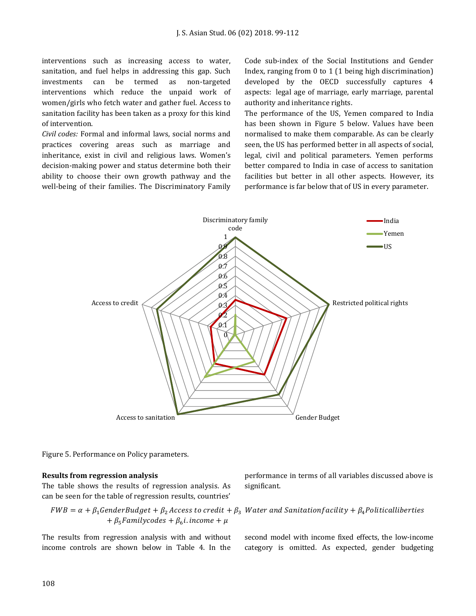interventions such as increasing access to water, sanitation, and fuel helps in addressing this gap. Such investments can be termed as non-targeted interventions which reduce the unpaid work of women/girls who fetch water and gather fuel. Access to sanitation facility has been taken as a proxy for this kind of intervention.

*Civil codes:* Formal and informal laws, social norms and practices covering areas such as marriage and inheritance, exist in civil and religious laws. Women's decision-making power and status determine both their ability to choose their own growth pathway and the well-being of their families. The Discriminatory Family

Code sub-index of the Social Institutions and Gender Index, ranging from 0 to 1 (1 being high discrimination) developed by the OECD successfully captures 4 aspects: legal age of marriage, early marriage, parental authority and inheritance rights.

The performance of the US, Yemen compared to India has been shown in Figure 5 below. Values have been normalised to make them comparable. As can be clearly seen, the US has performed better in all aspects of social, legal, civil and political parameters. Yemen performs better compared to India in case of access to sanitation facilities but better in all other aspects. However, its performance is far below that of US in every parameter.



Figure 5. Performance on Policy parameters.

#### **Results from regression analysis**

The table shows the results of regression analysis. As can be seen for the table of regression results, countries'

$$
FWB = \alpha + \beta_1 GenderBudget + \beta_2 Access\ to\ credit + \beta_3\ Water\ and\ Sanitation facility + \beta_4 Political liberties + \beta_5 Familycodes + \beta_6 i.\ income + \mu
$$

The results from regression analysis with and without income controls are shown below in Table 4. In the

performance in terms of all variables discussed above is significant.

second model with income fixed effects, the low-income category is omitted. As expected, gender budgeting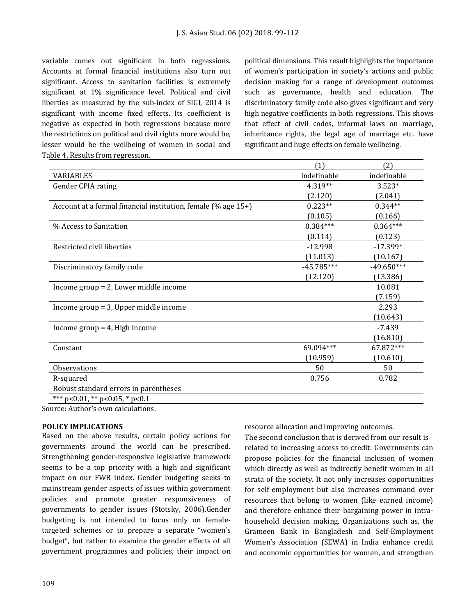variable comes out significant in both regressions. Accounts at formal financial institutions also turn out significant. Access to sanitation facilities is extremely significant at 1% significance level. Political and civil liberties as measured by the sub-index of SIGI, 2014 is significant with income fixed effects. Its coefficient is negative as expected in both regressions because more the restrictions on political and civil rights more would be, lesser would be the wellbeing of women in social and Table 4. Results from regression.

political dimensions. This result highlights the importance of women's participation in society's actions and public decision making for a range of development outcomes such as governance, health and education. The discriminatory family code also gives significant and very high negative coefficients in both regressions. This shows that effect of civil codes, informal laws on marriage, inheritance rights, the legal age of marriage etc. have significant and huge effects on female wellbeing.

|                                                               | (1)          | (2)          |
|---------------------------------------------------------------|--------------|--------------|
| VARIABLES                                                     | indefinable  | indefinable  |
| <b>Gender CPIA rating</b>                                     | 4.319**      | 3.523*       |
|                                                               | (2.120)      | (2.041)      |
| Account at a formal financial institution, female (% age 15+) | $0.223**$    | $0.344**$    |
|                                                               | (0.105)      | (0.166)      |
| % Access to Sanitation                                        | $0.384***$   | $0.364***$   |
|                                                               | (0.114)      | (0.123)      |
| Restricted civil liberties                                    | $-12.998$    | $-17.399*$   |
|                                                               | (11.013)     | (10.167)     |
| Discriminatory family code                                    | $-45.785***$ | $-49.650***$ |
|                                                               | (12.120)     | (13.386)     |
| Income group = 2, Lower middle income                         |              | 10.081       |
|                                                               |              | (7.159)      |
| Income group $=$ 3, Upper middle income                       |              | 2.293        |
|                                                               |              | (10.643)     |
| Income group $=$ 4, High income                               |              | $-7.439$     |
|                                                               |              | (16.810)     |
| Constant                                                      | 69.094***    | 67.872***    |
|                                                               | (10.959)     | (10.610)     |
| Observations                                                  | 50           | 50           |
| R-squared                                                     | 0.756        | 0.782        |
| Robust standard errors in parentheses                         |              |              |
| *** p<0.01, ** p<0.05, * p<0.1                                |              |              |

Source: Author's own calculations.

#### **POLICY IMPLICATIONS**

Based on the above results, certain policy actions for governments around the world can be prescribed. Strengthening gender-responsive legislative framework seems to be a top priority with a high and significant impact on our FWB index. Gender budgeting seeks to mainstream gender aspects of issues within government policies and promote greater responsiveness of governments to gender issues (Stotsky, 2006).Gender budgeting is not intended to focus only on femaletargeted schemes or to prepare a separate "women's budget", but rather to examine the gender effects of all government programmes and policies, their impact on

resource allocation and improving outcomes.

The second conclusion that is derived from our result is related to increasing access to credit. Governments can propose policies for the financial inclusion of women which directly as well as indirectly benefit women in all strata of the society. It not only increases opportunities for self-employment but also increases command over resources that belong to women (like earned income) and therefore enhance their bargaining power in intrahousehold decision making. Organizations such as, the Grameen Bank in Bangladesh and Self-Employment Women's Association (SEWA) in India enhance credit and economic opportunities for women, and strengthen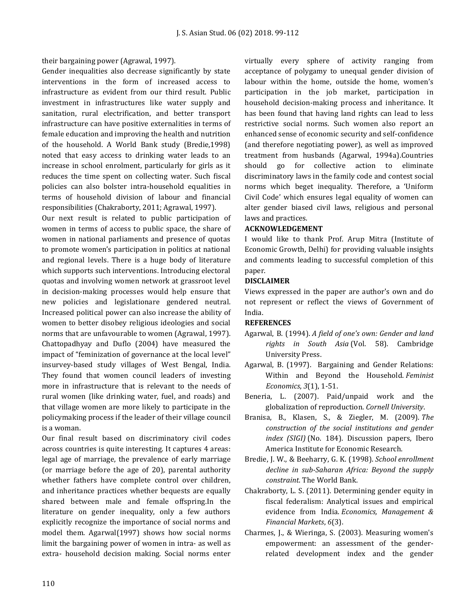their bargaining power (Agrawal, 1997).

Gender inequalities also decrease significantly by state interventions in the form of increased access to infrastructure as evident from our third result. Public investment in infrastructures like water supply and sanitation, rural electrification, and better transport infrastructure can have positive externalities in terms of female education and improving the health and nutrition of the household. A World Bank study (Bredie,1998) noted that easy access to drinking water leads to an increase in school enrolment, particularly for girls as it reduces the time spent on collecting water. Such fiscal policies can also bolster intra-household equalities in terms of household division of labour and financial responsibilities (Chakraborty, 2011; Agrawal, 1997).

Our next result is related to public participation of women in terms of access to public space, the share of women in national parliaments and presence of quotas to promote women's participation in politics at national and regional levels. There is a huge body of literature which supports such interventions. Introducing electoral quotas and involving women network at grassroot level in decision-making processes would help ensure that new policies and legislationare gendered neutral. Increased political power can also increase the ability of women to better disobey religious ideologies and social norms that are unfavourable to women (Agrawal, 1997). Chattopadhyay and Duflo (2004) have measured the impact of "feminization of governance at the local level" insurvey-based study villages of West Bengal, India. They found that women council leaders of investing more in infrastructure that is relevant to the needs of rural women (like drinking water, fuel, and roads) and that village women are more likely to participate in the policymaking process if the leader of their village council is a woman.

Our final result based on discriminatory civil codes across countries is quite interesting. It captures 4 areas: legal age of marriage, the prevalence of early marriage (or marriage before the age of 20), parental authority whether fathers have complete control over children, and inheritance practices whether bequests are equally shared between male and female offspring.In the literature on gender inequality, only a few authors explicitly recognize the importance of social norms and model them. Agarwal(1997) shows how social norms limit the bargaining power of women in intra- as well as extra- household decision making. Social norms enter

virtually every sphere of activity ranging from acceptance of polygamy to unequal gender division of labour within the home, outside the home, women's participation in the job market, participation in household decision-making process and inheritance. It has been found that having land rights can lead to less restrictive social norms. Such women also report an enhanced sense of economic security and self-confidence (and therefore negotiating power), as well as improved treatment from husbands (Agarwal, 1994a).Countries should go for collective action to eliminate discriminatory laws in the family code and contest social norms which beget inequality. Therefore, a 'Uniform Civil Code' which ensures legal equality of women can alter gender biased civil laws, religious and personal laws and practices.

### **ACKNOWLEDGEMENT**

I would like to thank Prof. Arup Mitra (Institute of Economic Growth, Delhi) for providing valuable insights and comments leading to successful completion of this paper.

### **DISCLAIMER**

Views expressed in the paper are author's own and do not represent or reflect the views of Government of India.

# **REFERENCES**

- Agarwal, B. (1994). *A field of one's own: Gender and land rights in South Asia* (Vol. 58). Cambridge University Press.
- Agarwal, B. (1997). Bargaining and Gender Relations: Within and Beyond the Household. *Feminist Economics*, *3*(1), 1-51.
- Beneria, L. (2007). Paid/unpaid work and the globalization of reproduction. *Cornell University*.
- Branisa, B., Klasen, S., & Ziegler, M. (2009). *The construction of the social institutions and gender index (SIGI)* (No. 184). Discussion papers, Ibero America Institute for Economic Research.
- Bredie, J. W., & Beeharry, G. K. (1998). *School enrollment decline in sub-Saharan Africa: Beyond the supply constraint*. The World Bank.
- Chakraborty, L. S. (2011). Determining gender equity in fiscal federalism: Analytical issues and empirical evidence from India. *Economics, Management & Financial Markets*, *6*(3).
- Charmes, J., & Wieringa, S. (2003). Measuring women's empowerment: an assessment of the genderrelated development index and the gender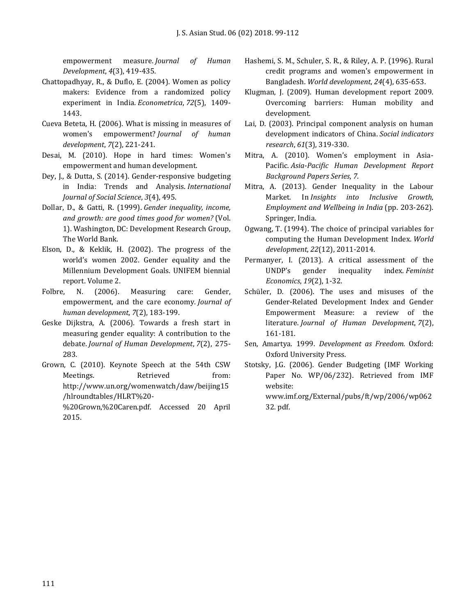empowerment measure. *Journal of Human Development*, *4*(3), 419-435.

- Chattopadhyay, R., & Duflo, E. (2004). Women as policy makers: Evidence from a randomized policy experiment in India. *Econometrica*, *72*(5), 1409- 1443.
- Cueva Beteta, H. (2006). What is missing in measures of women's empowerment? *Journal of human development*, *7*(2), 221-241.
- Desai, M. (2010). Hope in hard times: Women's empowerment and human development.
- Dey, J., & Dutta, S. (2014). Gender-responsive budgeting in India: Trends and Analysis. *International Journal of Social Science*, *3*(4), 495.
- Dollar, D., & Gatti, R. (1999). *Gender inequality, income, and growth: are good times good for women?* (Vol. 1). Washington, DC: Development Research Group, The World Bank.
- Elson, D., & Keklik, H. (2002). The progress of the world's women 2002. Gender equality and the Millennium Development Goals. UNIFEM biennial report. Volume 2.
- Folbre, N. (2006). Measuring care: Gender, empowerment, and the care economy. *Journal of human development*, *7*(2), 183-199.
- Geske Dijkstra, A. (2006). Towards a fresh start in measuring gender equality: A contribution to the debate. *Journal of Human Development*, *7*(2), 275- 283.
- Grown, C. (2010). Keynote Speech at the 54th CSW Meetings. Retrieved from: http://www.un.org/womenwatch/daw/beijing15 /hlroundtables/HLRT%20- %20Grown,%20Caren.pdf. Accessed 20 April 2015.
- Hashemi, S. M., Schuler, S. R., & Riley, A. P. (1996). Rural credit programs and women's empowerment in Bangladesh. *World development*, *24*(4), 635-653.
- Klugman, J. (2009). Human development report 2009. Overcoming barriers: Human mobility and development.
- Lai, D. (2003). Principal component analysis on human development indicators of China. *Social indicators research*, *61*(3), 319-330.
- Mitra, A. (2010). Women's employment in Asia-Pacific. *Asia-Pacific Human Development Report Background Papers Series*, *7*.
- Mitra, A. (2013). Gender Inequality in the Labour Market. In *Insights into Inclusive Growth, Employment and Wellbeing in India* (pp. 203-262). Springer, India.
- Ogwang, T. (1994). The choice of principal variables for computing the Human Development Index. *World development*, *22*(12), 2011-2014.
- Permanyer, I. (2013). A critical assessment of the UNDP's gender inequality index. *Feminist Economics*, *19*(2), 1-32.
- Schüler, D. (2006). The uses and misuses of the Gender‐Related Development Index and Gender Empowerment Measure: a review of the literature. *Journal of Human Development*, *7*(2), 161-181.
- Sen, Amartya. 1999. *Development as Freedom.* Oxford: Oxford University Press.
- Stotsky, J.G. (2006). Gender Budgeting (IMF Working Paper No. WP/06/232). Retrieved from IMF website: www.imf.org/External/pubs/ft/wp/2006/wp062 32. pdf.